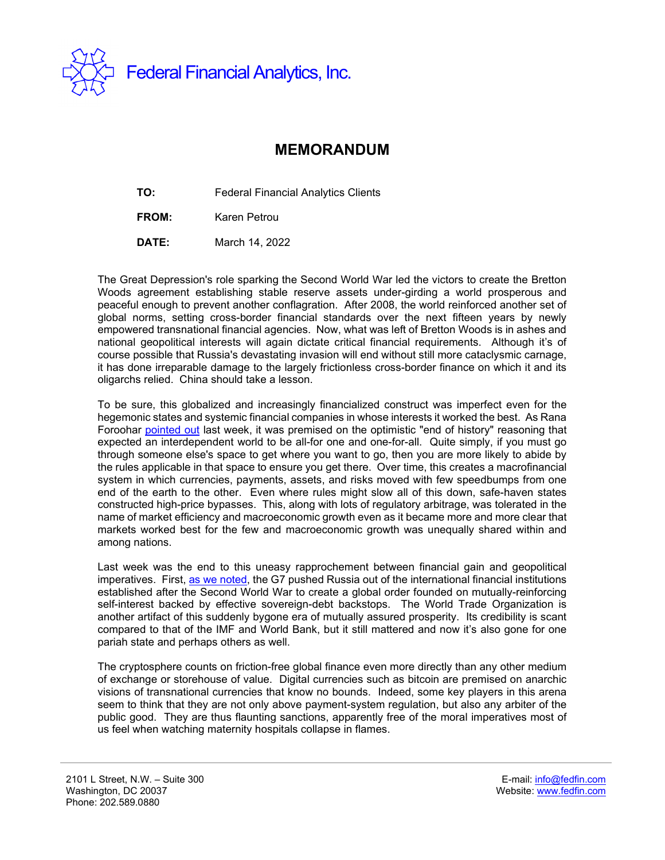

## **MEMORANDUM**

**TO:** Federal Financial Analytics Clients

**FROM:** Karen Petrou

**DATE:** March 14, 2022

The Great Depression's role sparking the Second World War led the victors to create the Bretton Woods agreement establishing stable reserve assets under-girding a world prosperous and peaceful enough to prevent another conflagration. After 2008, the world reinforced another set of global norms, setting cross-border financial standards over the next fifteen years by newly empowered transnational financial agencies. Now, what was left of Bretton Woods is in ashes and national geopolitical interests will again dictate critical financial requirements. Although it's of course possible that Russia's devastating invasion will end without still more cataclysmic carnage, it has done irreparable damage to the largely frictionless cross-border finance on which it and its oligarchs relied. China should take a lesson.

To be sure, this globalized and increasingly financialized construct was imperfect even for the hegemonic states and systemic financial companies in whose interests it worked the best. As Rana Foroohar [pointed out](https://www.ft.com/content/14511f47-103a-4fce-b87e-4c26877a33c5) last week, it was premised on the optimistic "end of history" reasoning that expected an interdependent world to be all-for one and one-for-all. Quite simply, if you must go through someone else's space to get where you want to go, then you are more likely to abide by the rules applicable in that space to ensure you get there. Over time, this creates a macrofinancial system in which currencies, payments, assets, and risks moved with few speedbumps from one end of the earth to the other. Even where rules might slow all of this down, safe-haven states constructed high-price bypasses. This, along with lots of regulatory arbitrage, was tolerated in the name of market efficiency and macroeconomic growth even as it became more and more clear that markets worked best for the few and macroeconomic growth was unequally shared within and among nations.

Last week was the end to this uneasy rapprochement between financial gain and geopolitical imperatives. First, [as we noted,](https://fedfin.com/wp-content/uploads/2022/03/Daily031122.pdf) the G7 pushed Russia out of the international financial institutions established after the Second World War to create a global order founded on mutually-reinforcing self-interest backed by effective sovereign-debt backstops. The World Trade Organization is another artifact of this suddenly bygone era of mutually assured prosperity. Its credibility is scant compared to that of the IMF and World Bank, but it still mattered and now it's also gone for one pariah state and perhaps others as well.

The cryptosphere counts on friction-free global finance even more directly than any other medium of exchange or storehouse of value. Digital currencies such as bitcoin are premised on anarchic visions of transnational currencies that know no bounds. Indeed, some key players in this arena seem to think that they are not only above payment-system regulation, but also any arbiter of the public good. They are thus flaunting sanctions, apparently free of the moral imperatives most of us feel when watching maternity hospitals collapse in flames.